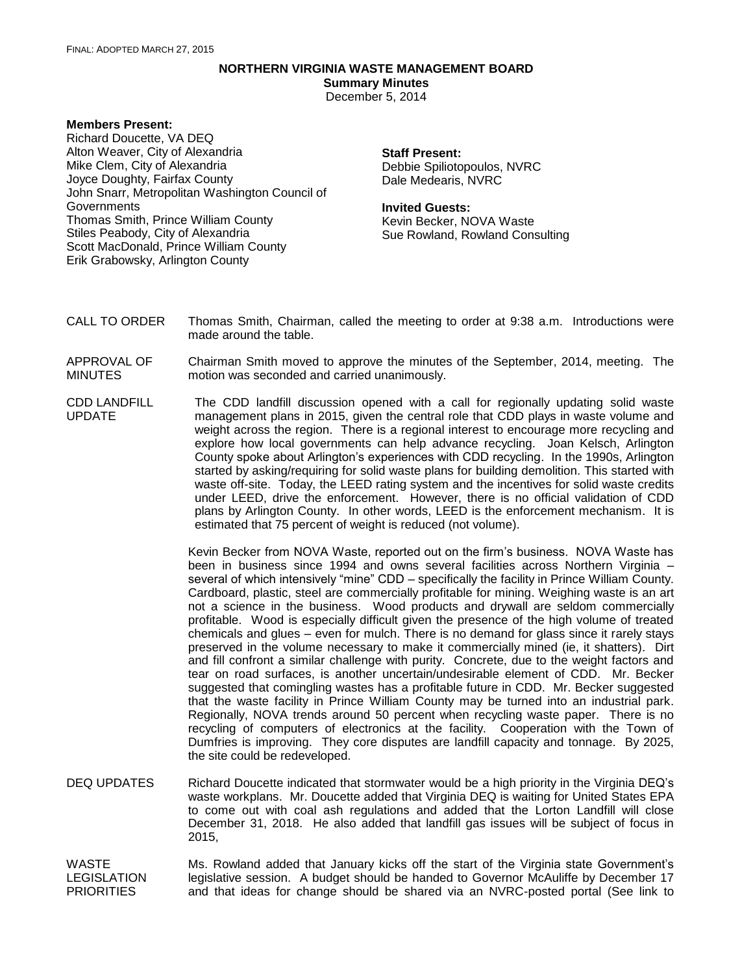## **NORTHERN VIRGINIA WASTE MANAGEMENT BOARD**

**Summary Minutes**

December 5, 2014

## **Members Present:**

Richard Doucette, VA DEQ Alton Weaver, City of Alexandria Mike Clem, City of Alexandria Joyce Doughty, Fairfax County John Snarr, Metropolitan Washington Council of Governments Thomas Smith, Prince William County Stiles Peabody, City of Alexandria Scott MacDonald, Prince William County Erik Grabowsky, Arlington County

## **Staff Present:** Debbie Spiliotopoulos, NVRC Dale Medearis, NVRC

## **Invited Guests:**

Kevin Becker, NOVA Waste Sue Rowland, Rowland Consulting

- CALL TO ORDER Thomas Smith, Chairman, called the meeting to order at 9:38 a.m. Introductions were made around the table.
- APPROVAL OF MINUTES Chairman Smith moved to approve the minutes of the September, 2014, meeting. The motion was seconded and carried unanimously.
- CDD LANDFILL UPDATE The CDD landfill discussion opened with a call for regionally updating solid waste management plans in 2015, given the central role that CDD plays in waste volume and weight across the region. There is a regional interest to encourage more recycling and explore how local governments can help advance recycling. Joan Kelsch, Arlington County spoke about Arlington's experiences with CDD recycling. In the 1990s, Arlington started by asking/requiring for solid waste plans for building demolition. This started with waste off-site. Today, the LEED rating system and the incentives for solid waste credits under LEED, drive the enforcement. However, there is no official validation of CDD plans by Arlington County. In other words, LEED is the enforcement mechanism. It is estimated that 75 percent of weight is reduced (not volume).

Kevin Becker from NOVA Waste, reported out on the firm's business. NOVA Waste has been in business since 1994 and owns several facilities across Northern Virginia – several of which intensively "mine" CDD – specifically the facility in Prince William County. Cardboard, plastic, steel are commercially profitable for mining. Weighing waste is an art not a science in the business. Wood products and drywall are seldom commercially profitable. Wood is especially difficult given the presence of the high volume of treated chemicals and glues – even for mulch. There is no demand for glass since it rarely stays preserved in the volume necessary to make it commercially mined (ie, it shatters). Dirt and fill confront a similar challenge with purity. Concrete, due to the weight factors and tear on road surfaces, is another uncertain/undesirable element of CDD. Mr. Becker suggested that comingling wastes has a profitable future in CDD. Mr. Becker suggested that the waste facility in Prince William County may be turned into an industrial park. Regionally, NOVA trends around 50 percent when recycling waste paper. There is no recycling of computers of electronics at the facility. Cooperation with the Town of Dumfries is improving. They core disputes are landfill capacity and tonnage. By 2025, the site could be redeveloped.

DEQ UPDATES Richard Doucette indicated that stormwater would be a high priority in the Virginia DEQ's waste workplans. Mr. Doucette added that Virginia DEQ is waiting for United States EPA to come out with coal ash regulations and added that the Lorton Landfill will close December 31, 2018. He also added that landfill gas issues will be subject of focus in 2015,

WASTE LEGISLATION **PRIORITIES** Ms. Rowland added that January kicks off the start of the Virginia state Government's legislative session. A budget should be handed to Governor McAuliffe by December 17 and that ideas for change should be shared via an NVRC-posted portal (See link to